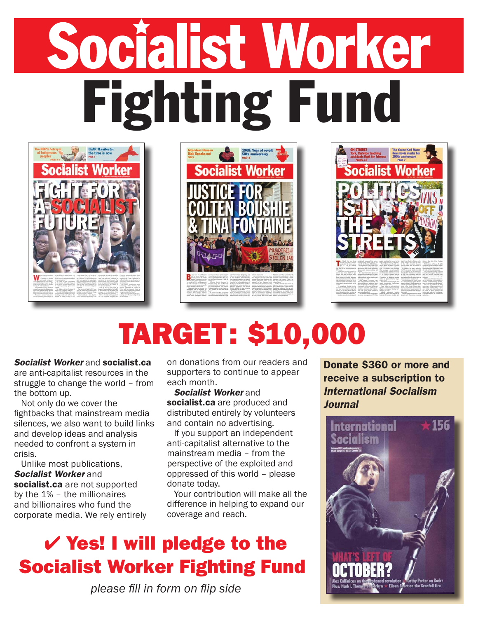## Socialist Worker Fighting Fund







## TARGET: \$10,000

**Socialist Worker and socialist.ca** are anti-capitalist resources in the struggle to change the world – from the bottom up.

Not only do we cover the fightbacks that mainstream media silences, we also want to build links and develop ideas and analysis needed to confront a system in crisis.

Unlike most publications, *Socialist Worker* and socialist.ca are not supported by the 1% – the millionaires and billionaires who fund the corporate media. We rely entirely on donations from our readers and supporters to continue to appear each month.

*Socialist Worker* and socialist.ca are produced and distributed entirely by volunteers and contain no advertising.

If you support an independent anti-capitalist alternative to the mainstream media – from the perspective of the exploited and oppressed of this world – please donate today.

Your contribution will make all the difference in helping to expand our coverage and reach.

## $V$  Yes! I will pledge to the Socialist Worker Fighting Fund

*please fill in form on flip side*

Donate \$360 or more and receive a subscription to *International Socialism Journal*